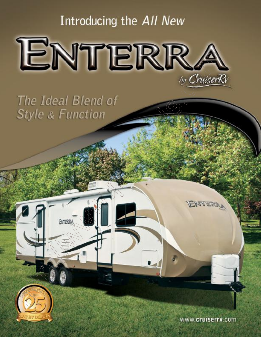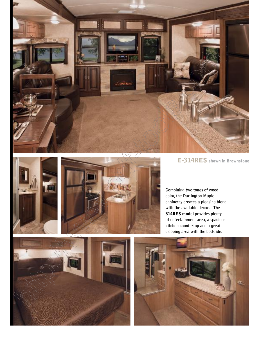

E-314RES shown in Brownstone





**Combining two tones of wood color, the Darlington Maple cabinetry creates a pleasing blend with the available decors. The**  314RES model **provides plenty of entertainment area, a spacious kitchen countertop and a great sleeping area with the bedslide.**



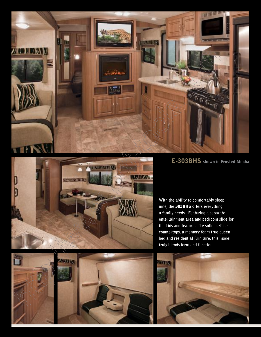

E-303BHS shown in Frosted Mocha





**With the ability to comfortably sleep nine, the** 303BHS **offers everything a family needs. Featuring a separate entertainment area and bedroom slide for the kids and features like solid surface countertops, a memory foam true queen bed and residential furniture, this model truly blends form and function.**